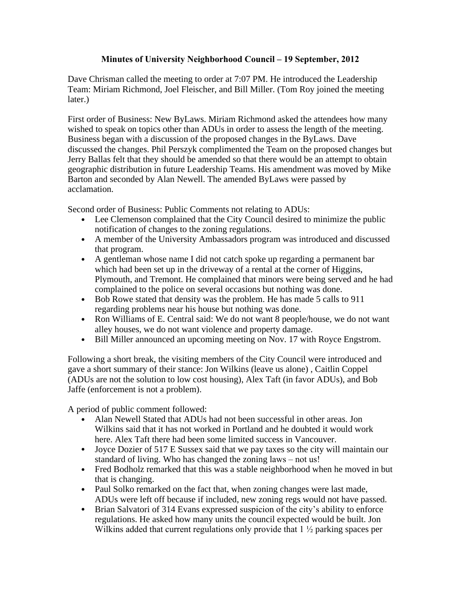## **Minutes of University Neighborhood Council – 19 September, 2012**

Dave Chrisman called the meeting to order at 7:07 PM. He introduced the Leadership Team: Miriam Richmond, Joel Fleischer, and Bill Miller. (Tom Roy joined the meeting later.)

First order of Business: New ByLaws. Miriam Richmond asked the attendees how many wished to speak on topics other than ADUs in order to assess the length of the meeting. Business began with a discussion of the proposed changes in the ByLaws. Dave discussed the changes. Phil Perszyk complimented the Team on the proposed changes but Jerry Ballas felt that they should be amended so that there would be an attempt to obtain geographic distribution in future Leadership Teams. His amendment was moved by Mike Barton and seconded by Alan Newell. The amended ByLaws were passed by acclamation.

Second order of Business: Public Comments not relating to ADUs:

- Lee Clemenson complained that the City Council desired to minimize the public notification of changes to the zoning regulations.
- A member of the University Ambassadors program was introduced and discussed that program.
- A gentleman whose name I did not catch spoke up regarding a permanent bar which had been set up in the driveway of a rental at the corner of Higgins, Plymouth, and Tremont. He complained that minors were being served and he had complained to the police on several occasions but nothing was done.
- Bob Rowe stated that density was the problem. He has made 5 calls to 911 regarding problems near his house but nothing was done.
- Ron Williams of E. Central said: We do not want 8 people/house, we do not want alley houses, we do not want violence and property damage.
- Bill Miller announced an upcoming meeting on Nov. 17 with Royce Engstrom.

Following a short break, the visiting members of the City Council were introduced and gave a short summary of their stance: Jon Wilkins (leave us alone) , Caitlin Coppel (ADUs are not the solution to low cost housing), Alex Taft (in favor ADUs), and Bob Jaffe (enforcement is not a problem).

A period of public comment followed:

- Alan Newell Stated that ADUs had not been successful in other areas. Jon Wilkins said that it has not worked in Portland and he doubted it would work here. Alex Taft there had been some limited success in Vancouver.
- Joyce Dozier of 517 E Sussex said that we pay taxes so the city will maintain our standard of living. Who has changed the zoning laws – not us!
- Fred Bodholz remarked that this was a stable neighborhood when he moved in but that is changing.
- Paul Solko remarked on the fact that, when zoning changes were last made, ADUs were left off because if included, new zoning regs would not have passed.
- Brian Salvatori of 314 Evans expressed suspicion of the city's ability to enforce regulations. He asked how many units the council expected would be built. Jon Wilkins added that current regulations only provide that  $1\frac{1}{2}$  parking spaces per